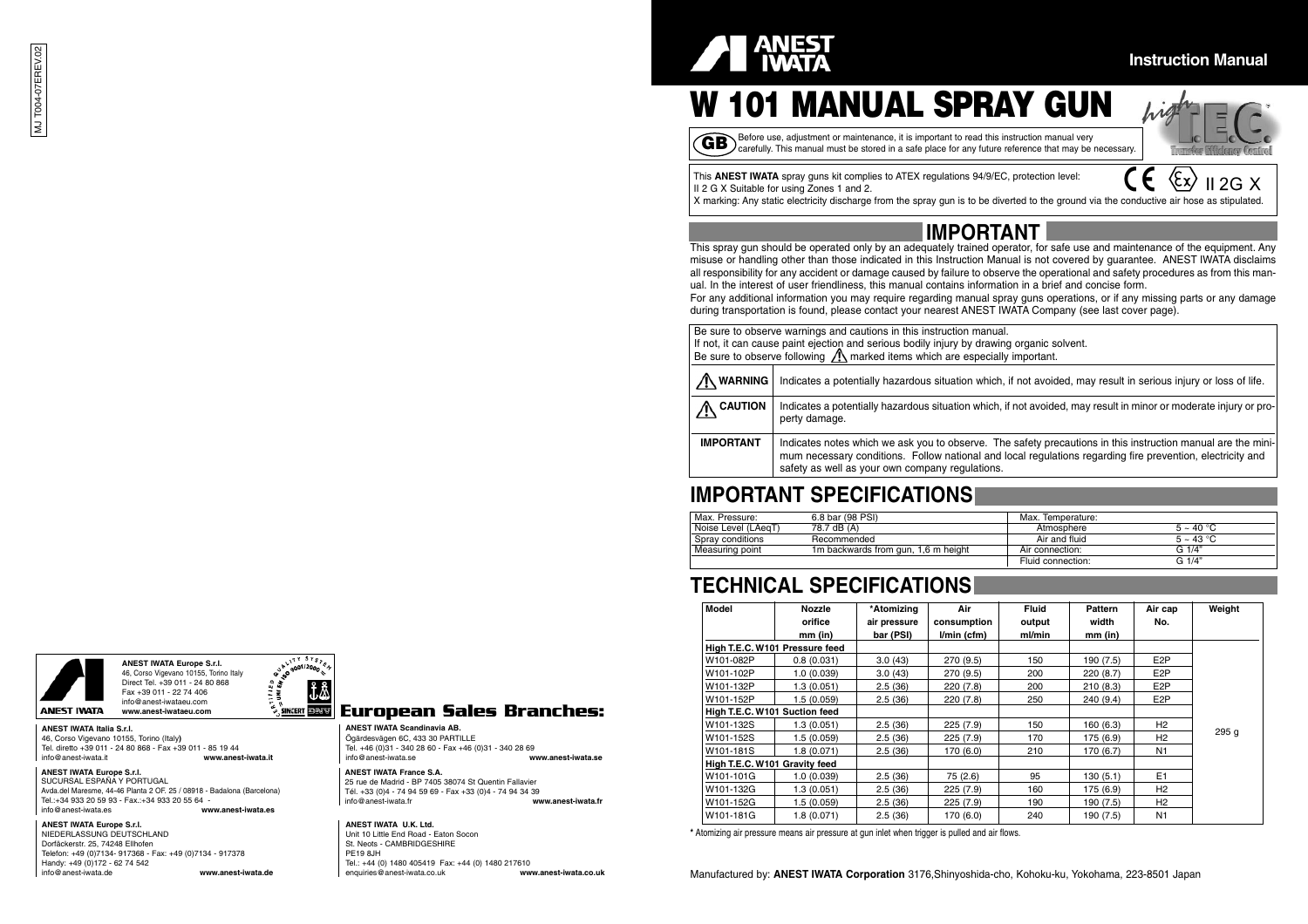

2G X

# **W 101 MANUAL SPRAY GUN**

GB Before use, adjustment or maintenance, it is important to read this instruction manual very<br>CB carefully. This manual must be stored in a safe place for any future reference that may be necessary.

This **ANEST IWATA** spray guns kit complies to ATEX regulations 94/9/EC, protection level: II 2 G X Suitable for using Zones 1 and 2.

X marking: Any static electricity discharge from the spray gun is to be diverted to the ground via the conductive air hose as stipulated.

### **IMPORTANT**

This spray gun should be operated only by an adequately trained operator, for safe use and maintenance of the equipment. Any misuse or handling other than those indicated in this Instruction Manual is not covered by guarantee. ANEST IWATA disclaims all responsibility for any accident or damage caused by failure to observe the operational and safety procedures as from this manual. In the interest of user friendliness, this manual contains information in a brief and concise form.

For any additional information you may require regarding manual spray guns operations, or if any missing parts or any damage during transportation is found, please contact your nearest ANEST IWATA Company (see last cover page).

| Be sure to observe warnings and cautions in this instruction manual.                                                          |                                                                                                                                                                                                                                                                               |  |  |  |  |  |  |  |  |  |
|-------------------------------------------------------------------------------------------------------------------------------|-------------------------------------------------------------------------------------------------------------------------------------------------------------------------------------------------------------------------------------------------------------------------------|--|--|--|--|--|--|--|--|--|
| If not, it can cause paint ejection and serious bodily injury by drawing organic solvent.                                     |                                                                                                                                                                                                                                                                               |  |  |  |  |  |  |  |  |  |
| Be sure to observe following $\triangle$ marked items which are especially important.                                         |                                                                                                                                                                                                                                                                               |  |  |  |  |  |  |  |  |  |
|                                                                                                                               |                                                                                                                                                                                                                                                                               |  |  |  |  |  |  |  |  |  |
| / WARNING<br>Indicates a potentially hazardous situation which, if not avoided, may result in serious injury or loss of life. |                                                                                                                                                                                                                                                                               |  |  |  |  |  |  |  |  |  |
| <b>CAUTION</b>                                                                                                                | Indicates a potentially hazardous situation which, if not avoided, may result in minor or moderate injury or pro-<br>perty damage.                                                                                                                                            |  |  |  |  |  |  |  |  |  |
| <b>IMPORTANT</b>                                                                                                              | Indicates notes which we ask you to observe. The safety precautions in this instruction manual are the mini-<br>mum necessary conditions. Follow national and local regulations regarding fire prevention, electricity and<br>safety as well as your own company regulations. |  |  |  |  |  |  |  |  |  |

### **IMPORTANT SPECIFICATIONS**

| Max. Pressure:      | 6.8 bar (98 PSI)                    | Max. Temperature: |             |
|---------------------|-------------------------------------|-------------------|-------------|
| Noise Level (LAegT) | 78.7 dB (A)                         | Atmosphere        | $5 - 40 °C$ |
| Spray conditions    | Recommended                         | Air and fluid     | $5 - 43 °C$ |
| Measuring point     | 1m backwards from gun, 1,6 m height | Air connection:   | G1/4"       |
|                     |                                     | Fluid connection: | G 1/4"      |

### **TECHNICAL SPECIFICATIONS**

|                                                                |                                                                                           |                                                                                         |                    | Model                         | Nozzle                         | *Atomizing   | Air          | Fluid  | <b>Pattern</b> | Air cap          | Weight |
|----------------------------------------------------------------|-------------------------------------------------------------------------------------------|-----------------------------------------------------------------------------------------|--------------------|-------------------------------|--------------------------------|--------------|--------------|--------|----------------|------------------|--------|
|                                                                |                                                                                           |                                                                                         |                    |                               | orifice                        | air pressure | consumption  | output | width          | No.              |        |
|                                                                |                                                                                           |                                                                                         |                    |                               | $mm$ (in)                      | bar (PSI)    | $Vmin$ (cfm) | ml/min | $mm$ (in)      |                  |        |
|                                                                |                                                                                           |                                                                                         |                    |                               | High T.E.C. W101 Pressure feed |              |              |        |                |                  |        |
|                                                                | $\mathbf{u}^{\mathsf{T}}$ <sup>srs</sup> $\mathbf{v}$<br><b>ANEST IWATA Europe S.r.I.</b> |                                                                                         |                    | W101-082P                     | 0.8(0.031)                     | 3.0(43)      | 270 (9.5)    | 150    | 190 (7.5)      | E <sub>2</sub> P |        |
|                                                                | $\propto e^{9001/2000}$ s.<br>46, Corso Vigevano 10155, Torino Italy                      |                                                                                         |                    | W101-102P                     | 1.0(0.039)                     | 3.0(43)      | 270 (9.5)    | 200    | 220(8.7)       | E <sub>2</sub> P |        |
|                                                                | 2.5<br>Direct Tel. +39 011 - 24 80 868<br>l 2 . 8<br>Fax +39 011 - 22 74 406              |                                                                                         |                    | W101-132P                     | 1.3(0.051)                     | 2.5(36)      | 220 (7.8)    | 200    | 210(8.3)       | E <sub>2</sub> P |        |
|                                                                | Ξğ<br>info@anest-iwataeu.com                                                              |                                                                                         |                    | W101-152P                     | 1.5(0.059)                     | 2.5(36)      | 220 (7.8)    | 250    | 240(9.4)       | E <sub>2</sub> P |        |
| ANEST IWATA                                                    | <b>SINGERT DAVV</b><br>www.anest-iwataeu.com                                              | European Sales Branches:                                                                |                    | High T.E.C. W101 Suction feed |                                |              |              |        |                |                  |        |
| ANEST IWATA Italia S.r.I.                                      |                                                                                           | <b>ANEST IWATA Scandinavia AB.</b>                                                      |                    | W101-132S                     | 1.3(0.051)                     | 2.5(36)      | 225(7.9)     | 150    | 160(6.3)       | H2               | 295 g  |
| 46, Corso Vigevano 10155, Torino (Italy)                       |                                                                                           | Ögärdesvägen 6C, 433 30 PARTILLE                                                        |                    | W101-152S                     | 1.5(0.059)                     | 2.5(36)      | 225 (7.9)    | 170    | 175(6.9)       | H <sub>2</sub>   |        |
|                                                                | Tel. diretto +39 011 - 24 80 868 - Fax +39 011 - 85 19 44                                 | Tel. +46 (0)31 - 340 28 60 - Fax +46 (0)31 - 340 28 69                                  |                    | W101-181S                     | 1.8(0.071)                     | 2.5(36)      | 170 (6.0)    | 210    | 170(6.7)       | N <sub>1</sub>   |        |
| info@anest-iwata.it                                            | www.anest-iwata.it                                                                        | info@anest-iwata.se                                                                     | www.anest-iwata.se | High T.E.C. W101 Gravity feed |                                |              |              |        |                |                  |        |
| <b>ANEST IWATA Europe S.r.I.</b><br>SUCURSAL ESPAÑA Y PORTUGAL |                                                                                           | <b>ANEST IWATA France S.A.</b><br>25 rue de Madrid - BP 7405 38074 St Quentin Fallavier |                    | W101-101G                     | 1.0(0.039)                     | 2.5(36)      | 75 (2.6)     | 95     | 130(5.1)       | E <sub>1</sub>   |        |
|                                                                | Avda.del Maresme, 44-46 Planta 2 OF, 25 / 08918 - Badalona (Barcelona)                    | Tél. +33 (0)4 - 74 94 59 69 - Fax +33 (0)4 - 74 94 34 39                                |                    | W101-132G                     | 1.3(0.051)                     | 2.5(36)      | 225(7.9)     | 160    | 175 (6.9)      | H2               |        |
| Tel.:+34 933 20 59 93 - Fax.:+34 933 20 55 64 -                |                                                                                           | info@anest-iwata.fr                                                                     | www.anest-iwata.fr | W101-152G                     | 1.5(0.059)                     | 2.5(36)      | 225 (7.9)    | 190    | 190 (7.5)      | H2               |        |
| info@anest-iwata.es                                            | www.anest-iwata.es                                                                        |                                                                                         |                    | W101-181G                     | 1.8(0.071)                     | 2.5(36)      | 170 (6.0)    | 240    | 190 (7.5)      | N <sub>1</sub>   |        |
|                                                                |                                                                                           |                                                                                         |                    |                               |                                |              |              |        |                |                  |        |

**\*** Atomizing air pressure means air pressure at gun inlet when trigger is pulled and air flows.

Manufactured by: **ANEST IWATA Corporation** 3176,Shinyoshida-cho, Kohoku-ku, Yokohama, 223-8501 Japan





#### **ANEST IWATA Europe S.r.l.**

#### **ANEST IWATA Europe S.r.l.**

NIEDERLASSUNG DEUTSCHLAND Dorfäckerstr. 25, 74248 Ellhofen Telefon: +49 (0)7134- 917368 - Fax: +49 (0)7134 - 917378 Handy: +49 (0)172 - 62 74 542<br>info@anest-iwata.de info@anest-iwata.de **www.anest-iwata.de**



#### **European Sales Branches:**

#### **ANEST IWATA U.K. Ltd.**

Unit 10 Little End Road - Eaton Socon St. Neots - CAMBRIDGESHIRE PE19 8JH Tel.: +44 (0) 1480 405419 Fax: +44 (0) 1480 217610<br>enquiries@anest-iwata.co.uk www.anest-iwata.co.uk enquiries@anest-iwata.co.uk **www.anest-iwata.co.uk**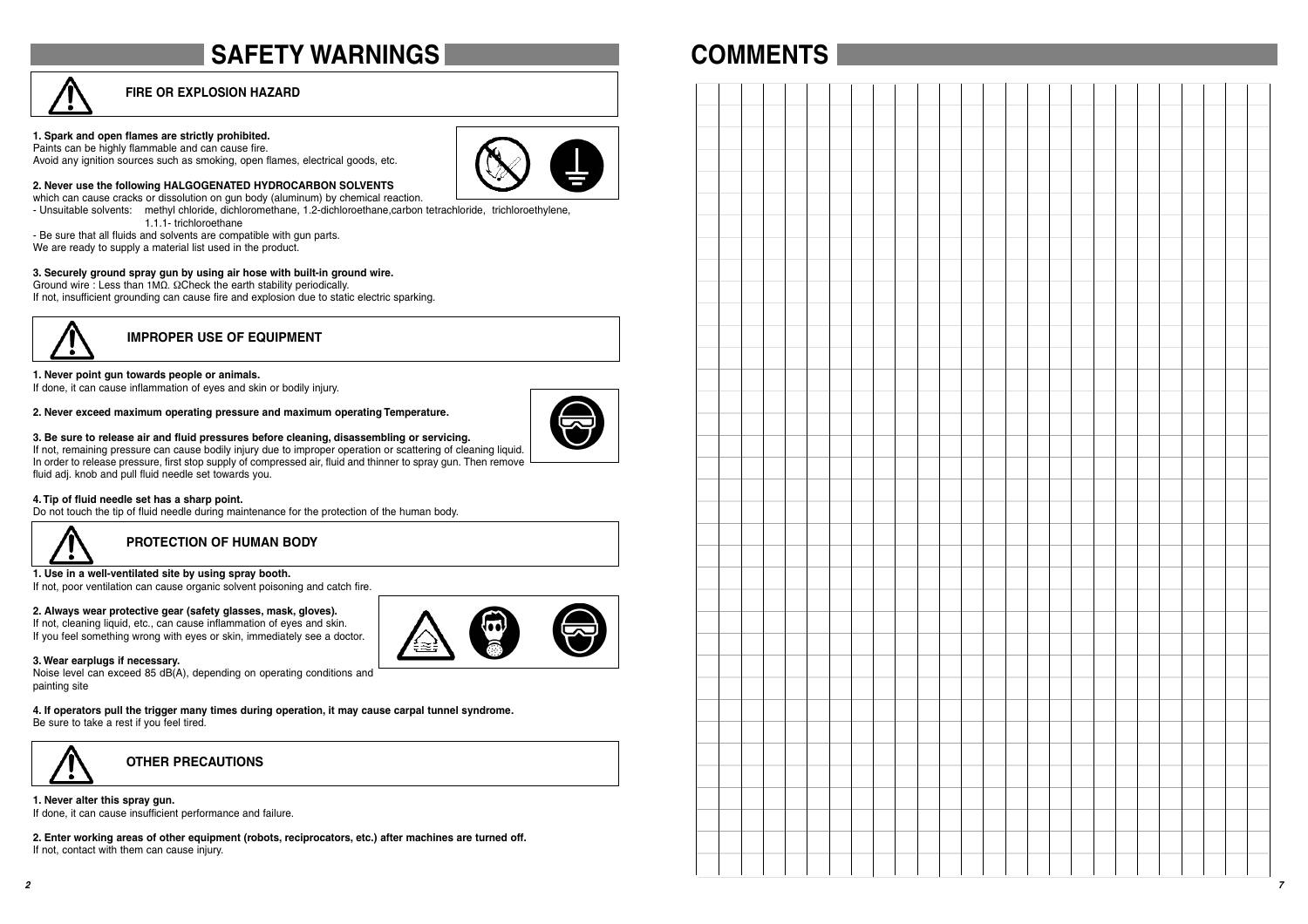# **SAFETY WARNINGS**



#### **1. Spark and open flames are strictly prohibited.**

Paints can be highly flammable and can cause fire. Avoid any ignition sources such as smoking, open flames, electrical goods, etc. **2. Never use the following HALGOGENATED HYDROCARBON SOLVENTS** 



**COMMENTS**

which can cause cracks or dissolution on gun body (aluminum) by chemical reaction. - Unsuitable solvents: methyl chloride, dichloromethane, 1.2-dichloroethane,carbon tetrachloride, trichloroethylene,

1.1.1- trichloroethane

- Be sure that all fluids and solvents are compatible with gun parts. We are ready to supply a material list used in the product.
- 

#### **3. Securely ground spray gun by using air hose with built-in ground wire.**

Ground wire : Less than 1MΩ. ΩCheck the earth stability periodically. If not, insufficient grounding can cause fire and explosion due to static electric sparking.



### **IMPROPER USE OF EQUIPMENT**

#### **1. Never point gun towards people or animals.**

If done, it can cause inflammation of eyes and skin or bodily injury.

#### **2. Never exceed maximum operating pressure and maximum operating Temperature.**



#### **3. Be sure to release air and fluid pressures before cleaning, disassembling or servicing.**

If not, remaining pressure can cause bodily injury due to improper operation or scattering of cleaning liquid. In order to release pressure, first stop supply of compressed air, fluid and thinner to spray gun. Then remove fluid adj. knob and pull fluid needle set towards you.

#### **4. Tip of fluid needle set has a sharp point.**

Do not touch the tip of fluid needle during maintenance for the protection of the human body.



### **PROTECTION OF HUMAN BODY**

**1. Use in a well-ventilated site by using spray booth.**

If not, poor ventilation can cause organic solvent poisoning and catch fire.

#### **2. Always wear protective gear (safety glasses, mask, gloves).**

If not, cleaning liquid, etc., can cause inflammation of eyes and skin. If you feel something wrong with eyes or skin, immediately see a doctor.



#### **3. Wear earplugs if necessary.**

Noise level can exceed 85 dB(A), depending on operating conditions and painting site

**4. If operators pull the trigger many times during operation, it may cause carpal tunnel syndrome.** Be sure to take a rest if you feel tired.



**OTHER PRECAUTIONS**

#### **1. Never alter this spray gun.**

If done, it can cause insufficient performance and failure.

**2. Enter working areas of other equipment (robots, reciprocators, etc.) after machines are turned off.** If not, contact with them can cause injury.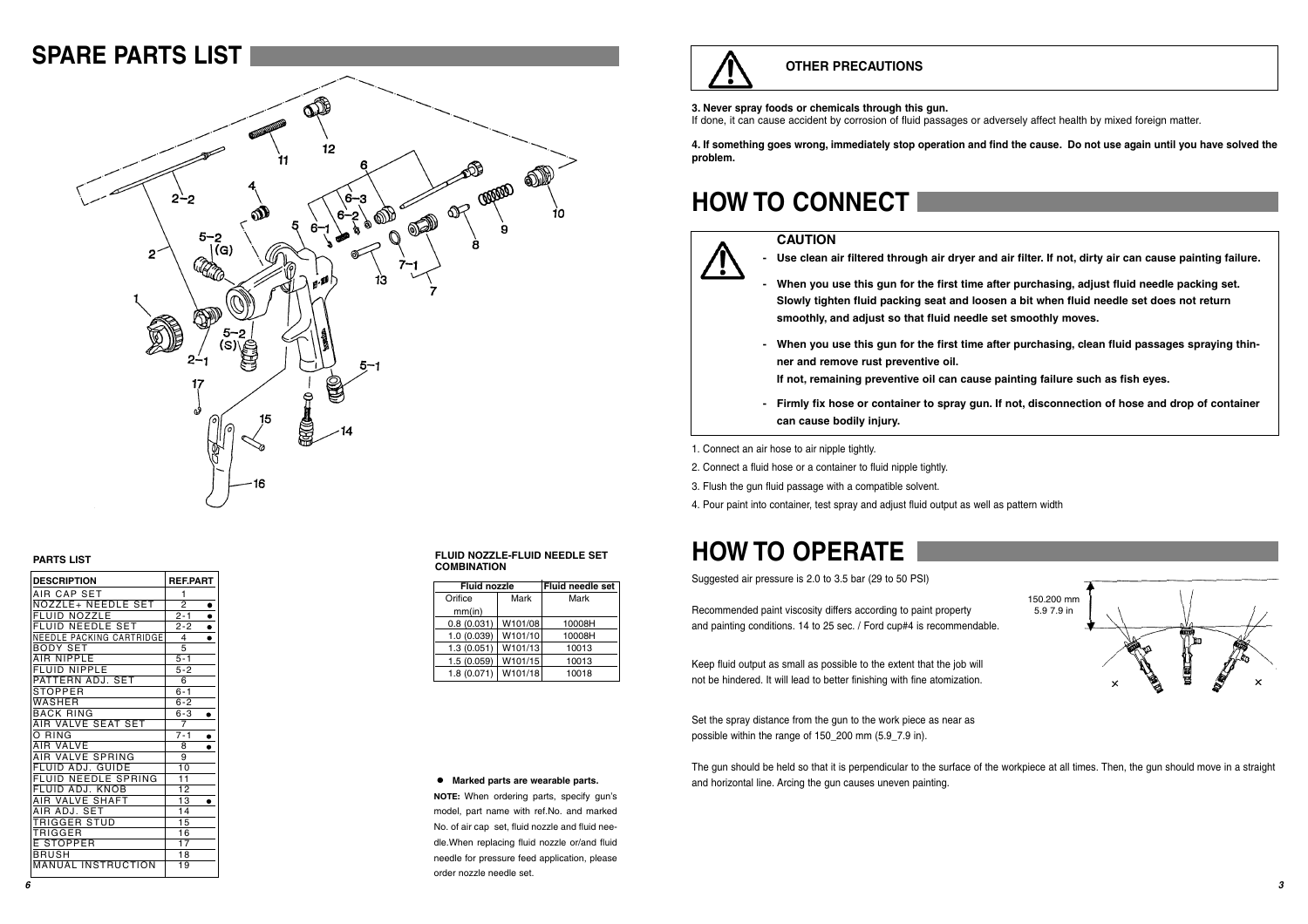### **SPARE PARTS LIST**



#### **PARTS LIST**

| <b>DESCRIPTION</b>             | <b>REF.PART</b>      |
|--------------------------------|----------------------|
| AIR CAP SET                    | 1                    |
| NOZZLE+ NEEDLE SET             | $\overline{2}$       |
| NOZZLE<br>EI UID               | $2 - 1$<br>$\bullet$ |
| FLUID NEEDLE SET               | $2 - 2$              |
| NEEDLE PACKING CARTRIDGE       | 4                    |
| BODY SET                       | 5                    |
| AIR NIPPLE                     | $5 - 1$              |
| <b>FLUID NIPPLE</b>            | $5 - 2$              |
| PATTERN ADJ. SET               | 6                    |
| STOPPER                        | $6 - 1$              |
| WASHER                         | $6 - 2$              |
| <b>BACK RING</b>               | $6 - 3$              |
| AIR VALVE SEAT SET             | 7                    |
| O RING                         | $7 - 1$              |
| VALVE<br>AIR                   | 8                    |
| AIR VALVE SPRING               | 9                    |
| FLUID ADJ. GUIDE               | 10                   |
| <b>NEEDLE SPRING</b><br>FI UID | 11                   |
| FLUID ADJ. KNOB                | 12                   |
| AIR VALVE SHAFT                | 13                   |
| ADJ. SET<br>AIR                | 14                   |
| TRIGGER STUD                   | 15                   |
| TRIGGER                        | 16                   |
| E STOPPER                      | 17                   |
| BRUSH                          | 18                   |
| <b>MANUAL INSTRUCTION</b>      | 19                   |

#### **FLUID NOZZLE-FLUID NEEDLE SET COMBINATION**

| <b>Fluid nozzle</b> | <b>Fluid needle set</b> |        |
|---------------------|-------------------------|--------|
| Orifice             | Mark                    | Mark   |
| mm(in)              |                         |        |
| 0.8(0.031)          | W101/08                 | 10008H |
| 1.0(0.039)          | W101/10                 | 10008H |
| 1.3(0.051)          | W101/13                 | 10013  |
| 1.5(0.059)          | W101/15                 | 10013  |
| 1.8(0.071)          | W101/18                 | 10018  |

# **OTHER PRECAUTIONS**

#### **3. Never spray foods or chemicals through this gun.**

If done, it can cause accident by corrosion of fluid passages or adversely affect health by mixed foreign matter.

**4. If something goes wrong, immediately stop operation and find the cause. Do not use again until you have solved the problem.**

# **HOW TO CONNECT**

#### **CAUTION**



**- Use clean air filtered through air dryer and air filter. If not, dirty air can cause painting failure.**

- **When you use this gun for the first time after purchasing, adjust fluid needle packing set. Slowly tighten fluid packing seat and loosen a bit when fluid needle set does not return smoothly, and adjust so that fluid needle set smoothly moves.**
- **When you use this gun for the first time after purchasing, clean fluid passages spraying thinner and remove rust preventive oil.**

**If not, remaining preventive oil can cause painting failure such as fish eyes.**

**- Firmly fix hose or container to spray gun. If not, disconnection of hose and drop of container can cause bodily injury.**

> 150.200 mm 5.9 7.9 in

1. Connect an air hose to air nipple tightly.

2. Connect a fluid hose or a container to fluid nipple tightly.

3. Flush the gun fluid passage with a compatible solvent.

4. Pour paint into container, test spray and adjust fluid output as well as pattern width

# **HOW TO OPERATE**

Suggested air pressure is 2.0 to 3.5 bar (29 to 50 PSI)

Recommended paint viscosity differs according to paint property and painting conditions. 14 to 25 sec. / Ford cup#4 is recommendable.

Keep fluid output as small as possible to the extent that the job will not be hindered. It will lead to better finishing with fine atomization.

Set the spray distance from the gun to the work piece as near as possible within the range of 150\_200 mm (5.9\_7.9 in).

The gun should be held so that it is perpendicular to the surface of the workpiece at all times. Then, the gun should move in a straight and horizontal line. Arcing the gun causes uneven painting.

#### **Marked parts are wearable parts.**

**NOTE:** When ordering parts, specify gun's model, part name with ref.No. and marked No. of air cap set, fluid nozzle and fluid needle.When replacing fluid nozzle or/and fluid needle for pressure feed application, please order nozzle needle set.